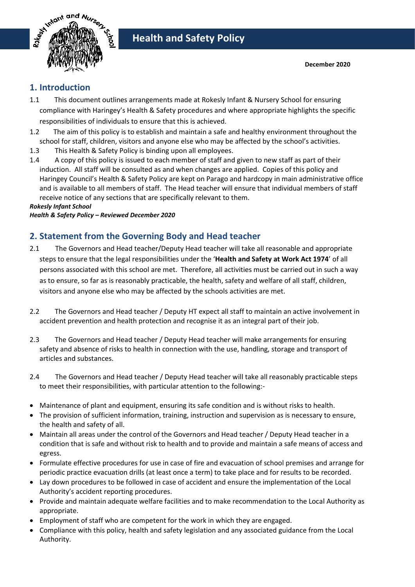

## **1. Introduction**

- 1.1 This document outlines arrangements made at Rokesly Infant & Nursery School for ensuring compliance with Haringey's Health & Safety procedures and where appropriate highlights the specific responsibilities of individuals to ensure that this is achieved.
- 1.2 The aim of this policy is to establish and maintain a safe and healthy environment throughout the school for staff, children, visitors and anyone else who may be affected by the school's activities.
- 1.3 This Health & Safety Policy is binding upon all employees.
- 1.4 A copy of this policy is issued to each member of staff and given to new staff as part of their induction. All staff will be consulted as and when changes are applied. Copies of this policy and Haringey Council's Health & Safety Policy are kept on Parago and hardcopy in main administrative office and is available to all members of staff. The Head teacher will ensure that individual members of staff receive notice of any sections that are specifically relevant to them.

*Rokesly Infant School*

*Health & Safety Policy – Reviewed December 2020*

## **2. Statement from the Governing Body and Head teacher**

- 2.1 The Governors and Head teacher/Deputy Head teacher will take all reasonable and appropriate steps to ensure that the legal responsibilities under the '**Health and Safety at Work Act 1974**' of all persons associated with this school are met. Therefore, all activities must be carried out in such a way as to ensure, so far as is reasonably practicable, the health, safety and welfare of all staff, children, visitors and anyone else who may be affected by the schools activities are met.
- 2.2 The Governors and Head teacher / Deputy HT expect all staff to maintain an active involvement in accident prevention and health protection and recognise it as an integral part of their job.
- 2.3 The Governors and Head teacher / Deputy Head teacher will make arrangements for ensuring safety and absence of risks to health in connection with the use, handling, storage and transport of articles and substances.
- 2.4 The Governors and Head teacher / Deputy Head teacher will take all reasonably practicable steps to meet their responsibilities, with particular attention to the following:-
- Maintenance of plant and equipment, ensuring its safe condition and is without risks to health.
- The provision of sufficient information, training, instruction and supervision as is necessary to ensure, the health and safety of all.
- Maintain all areas under the control of the Governors and Head teacher / Deputy Head teacher in a condition that is safe and without risk to health and to provide and maintain a safe means of access and egress.
- Formulate effective procedures for use in case of fire and evacuation of school premises and arrange for periodic practice evacuation drills (at least once a term) to take place and for results to be recorded.
- Lay down procedures to be followed in case of accident and ensure the implementation of the Local Authority's accident reporting procedures.
- Provide and maintain adequate welfare facilities and to make recommendation to the Local Authority as appropriate.
- Employment of staff who are competent for the work in which they are engaged.
- Compliance with this policy, health and safety legislation and any associated guidance from the Local Authority.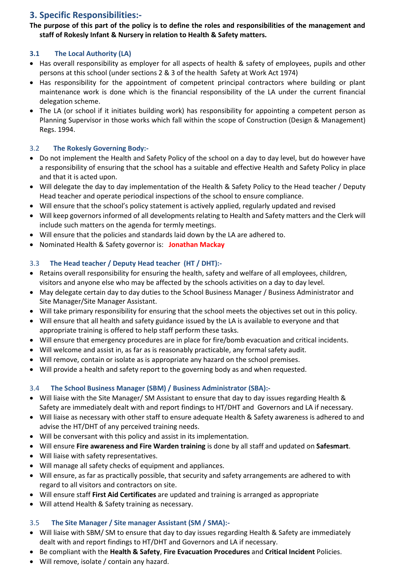## **3. Specific Responsibilities:-**

### **The purpose of this part of the policy is to define the roles and responsibilities of the management and staff of Rokesly Infant & Nursery in relation to Health & Safety matters.**

## **3.1 The Local Authority (LA)**

- Has overall responsibility as employer for all aspects of health & safety of employees, pupils and other persons at this school (under sections 2 & 3 of the health Safety at Work Act 1974)
- Has responsibility for the appointment of competent principal contractors where building or plant maintenance work is done which is the financial responsibility of the LA under the current financial delegation scheme.
- The LA (or school if it initiates building work) has responsibility for appointing a competent person as Planning Supervisor in those works which fall within the scope of Construction (Design & Management) Regs. 1994.

## 3.2 **The Rokesly Governing Body:-**

- Do not implement the Health and Safety Policy of the school on a day to day level, but do however have a responsibility of ensuring that the school has a suitable and effective Health and Safety Policy in place and that it is acted upon.
- Will delegate the day to day implementation of the Health & Safety Policy to the Head teacher / Deputy Head teacher and operate periodical inspections of the school to ensure compliance.
- Will ensure that the school's policy statement is actively applied, regularly updated and revised
- Will keep governors informed of all developments relating to Health and Safety matters and the Clerk will include such matters on the agenda for termly meetings.
- Will ensure that the policies and standards laid down by the LA are adhered to.
- Nominated Health & Safety governor is: **Jonathan Mackay**

## 3.3 **The Head teacher / Deputy Head teacher (HT / DHT):-**

- Retains overall responsibility for ensuring the health, safety and welfare of all employees, children, visitors and anyone else who may be affected by the schools activities on a day to day level.
- May delegate certain day to day duties to the School Business Manager / Business Administrator and Site Manager/Site Manager Assistant.
- Will take primary responsibility for ensuring that the school meets the objectives set out in this policy.
- Will ensure that all health and safety guidance issued by the LA is available to everyone and that appropriate training is offered to help staff perform these tasks.
- Will ensure that emergency procedures are in place for fire/bomb evacuation and critical incidents.
- Will welcome and assist in, as far as is reasonably practicable, any formal safety audit.
- Will remove, contain or isolate as is appropriate any hazard on the school premises.
- Will provide a health and safety report to the governing body as and when requested.

## 3.4 **The School Business Manager (SBM) / Business Administrator (SBA):-**

- Will liaise with the Site Manager/ SM Assistant to ensure that day to day issues regarding Health & Safety are immediately dealt with and report findings to HT/DHT and Governors and LA if necessary.
- Will liaise as necessary with other staff to ensure adequate Health & Safety awareness is adhered to and advise the HT/DHT of any perceived training needs.
- Will be conversant with this policy and assist in its implementation.
- Will ensure **Fire awareness and Fire Warden training** is done by all staff and updated on **Safesmart**.
- Will liaise with safety representatives.
- Will manage all safety checks of equipment and appliances.
- Will ensure, as far as practically possible, that security and safety arrangements are adhered to with regard to all visitors and contractors on site.
- Will ensure staff **First Aid Certificates** are updated and training is arranged as appropriate
- Will attend Health & Safety training as necessary.

## 3.5 **The Site Manager / Site manager Assistant (SM / SMA):-**

- Will liaise with SBM/ SM to ensure that day to day issues regarding Health & Safety are immediately dealt with and report findings to HT/DHT and Governors and LA if necessary.
- Be compliant with the **Health & Safety**, **Fire Evacuation Procedures** and **Critical Incident** Policies.
- Will remove, isolate / contain any hazard.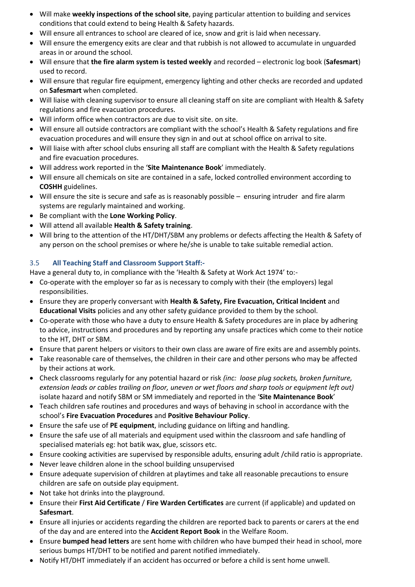- Will make **weekly inspections of the school site**, paying particular attention to building and services conditions that could extend to being Health & Safety hazards.
- Will ensure all entrances to school are cleared of ice, snow and grit is laid when necessary.
- Will ensure the emergency exits are clear and that rubbish is not allowed to accumulate in unguarded areas in or around the school.
- Will ensure that **the fire alarm system is tested weekly** and recorded electronic log book (**Safesmart**) used to record.
- Will ensure that regular fire equipment, emergency lighting and other checks are recorded and updated on **Safesmart** when completed.
- Will liaise with cleaning supervisor to ensure all cleaning staff on site are compliant with Health & Safety regulations and fire evacuation procedures.
- Will inform office when contractors are due to visit site. on site.
- Will ensure all outside contractors are compliant with the school's Health & Safety regulations and fire evacuation procedures and will ensure they sign in and out at school office on arrival to site.
- Will liaise with after school clubs ensuring all staff are compliant with the Health & Safety regulations and fire evacuation procedures.
- Will address work reported in the '**Site Maintenance Book**' immediately.
- Will ensure all chemicals on site are contained in a safe, locked controlled environment according to **COSHH** guidelines.
- Will ensure the site is secure and safe as is reasonably possible ensuring intruder and fire alarm systems are regularly maintained and working.
- Be compliant with the **Lone Working Policy**.
- Will attend all available **Health & Safety training**.
- Will bring to the attention of the HT/DHT/SBM any problems or defects affecting the Health & Safety of any person on the school premises or where he/she is unable to take suitable remedial action.

#### 3.5 **All Teaching Staff and Classroom Support Staff:-**

Have a general duty to, in compliance with the 'Health & Safety at Work Act 1974' to:-

- Co-operate with the employer so far as is necessary to comply with their (the employers) legal responsibilities.
- Ensure they are properly conversant with **Health & Safety, Fire Evacuation, Critical Incident** and **Educational Visits** policies and any other safety guidance provided to them by the school.
- Co-operate with those who have a duty to ensure Health & Safety procedures are in place by adhering to advice, instructions and procedures and by reporting any unsafe practices which come to their notice to the HT, DHT or SBM.
- Ensure that parent helpers or visitors to their own class are aware of fire exits are and assembly points.
- Take reasonable care of themselves, the children in their care and other persons who may be affected by their actions at work.
- Check classrooms regularly for any potential hazard or risk *(inc: loose plug sockets, broken furniture, extension leads or cables trailing on floor, uneven or wet floors and sharp tools or equipment left out)*  isolate hazard and notify SBM or SM immediately and reported in the '**Site Maintenance Book**'
- Teach children safe routines and procedures and ways of behaving in school in accordance with the school's **Fire Evacuation Procedures** and **Positive Behaviour Policy**.
- Ensure the safe use of **PE equipment**, including guidance on lifting and handling.
- Ensure the safe use of all materials and equipment used within the classroom and safe handling of specialised materials eg: hot batik wax, glue, scissors etc.
- Ensure cooking activities are supervised by responsible adults, ensuring adult /child ratio is appropriate.
- Never leave children alone in the school building unsupervised
- Ensure adequate supervision of children at playtimes and take all reasonable precautions to ensure children are safe on outside play equipment.
- Not take hot drinks into the playground.
- Ensure their **First Aid Certificate** / **Fire Warden Certificates** are current (if applicable) and updated on **Safesmart**.
- Ensure all injuries or accidents regarding the children are reported back to parents or carers at the end of the day and are entered into the **Accident Report Book** in the Welfare Room.
- Ensure **bumped head letters** are sent home with children who have bumped their head in school, more serious bumps HT/DHT to be notified and parent notified immediately.
- Notify HT/DHT immediately if an accident has occurred or before a child is sent home unwell.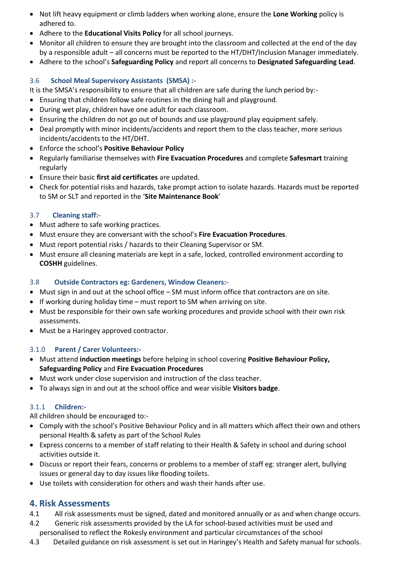- Not lift heavy equipment or climb ladders when working alone, ensure the **Lone Working** policy is adhered to.
- Adhere to the **Educational Visits Policy** for all school journeys.
- Monitor all children to ensure they are brought into the classroom and collected at the end of the day by a responsible adult – all concerns must be reported to the HT/DHT/Inclusion Manager immediately.
- Adhere to the school's **Safeguarding Policy** and report all concerns to **Designated Safeguarding Lead**.

#### 3.6 **School Meal Supervisory Assistants (SMSA) :-**

It is the SMSA's responsibility to ensure that all children are safe during the lunch period by:-

- Ensuring that children follow safe routines in the dining hall and playground.
- During wet play, children have one adult for each classroom.
- Ensuring the children do not go out of bounds and use playground play equipment safely.
- Deal promptly with minor incidents/accidents and report them to the class teacher, more serious incidents/accidents to the HT/DHT.
- Enforce the school's **Positive Behaviour Policy**
- Regularly familiarise themselves with **Fire Evacuation Procedures** and complete **Safesmart** training regularly
- Ensure their basic **first aid certificates** are updated.
- Check for potential risks and hazards, take prompt action to isolate hazards. Hazards must be reported to SM or SLT and reported in the '**Site Maintenance Book**'

#### 3.7 **Cleaning staff:-**

- Must adhere to safe working practices.
- Must ensure they are conversant with the school's **Fire Evacuation Procedures**.
- Must report potential risks / hazards to their Cleaning Supervisor or SM.
- Must ensure all cleaning materials are kept in a safe, locked, controlled environment according to **COSHH** guidelines.

#### 3.8 **Outside Contractors eg: Gardeners, Window Cleaners:-**

- Must sign in and out at the school office SM must inform office that contractors are on site.
- If working during holiday time must report to SM when arriving on site.
- Must be responsible for their own safe working procedures and provide school with their own risk assessments.
- Must be a Haringey approved contractor.

#### 3.1.0 **Parent / Carer Volunteers:-**

- Must attend **induction meetings** before helping in school covering **Positive Behaviour Policy, Safeguarding Policy** and **Fire Evacuation Procedures**
- Must work under close supervision and instruction of the class teacher.
- To always sign in and out at the school office and wear visible **Visitors badge**.

#### 3.1.1 **Children:-**

All children should be encouraged to:-

- Comply with the school's Positive Behaviour Policy and in all matters which affect their own and others personal Health & safety as part of the School Rules
- Express concerns to a member of staff relating to their Health & Safety in school and during school activities outside it.
- Discuss or report their fears, concerns or problems to a member of staff eg: stranger alert, bullying issues or general day to day issues like flooding toilets.
- Use toilets with consideration for others and wash their hands after use.

#### **4. Risk Assessments**

- 4.1 All risk assessments must be signed, dated and monitored annually or as and when change occurs.
- 4.2 Generic risk assessments provided by the LA for school-based activities must be used and personalised to reflect the Rokesly environment and particular circumstances of the school
- 4.3 Detailed guidance on risk assessment is set out in Haringey's Health and Safety manual for schools.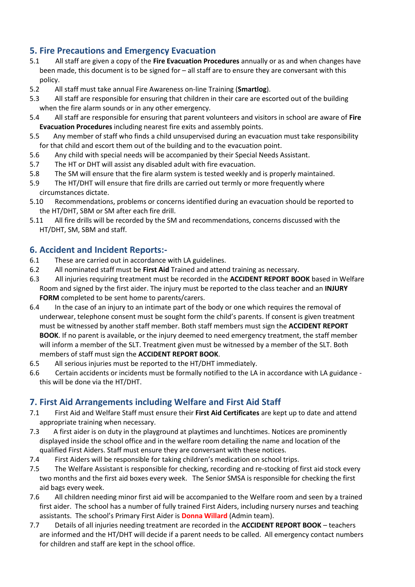## **5. Fire Precautions and Emergency Evacuation**

- 5.1 All staff are given a copy of the **Fire Evacuation Procedures** annually or as and when changes have been made, this document is to be signed for – all staff are to ensure they are conversant with this policy.
- 5.2 All staff must take annual Fire Awareness on-line Training (**Smartlog**).
- 5.3 All staff are responsible for ensuring that children in their care are escorted out of the building when the fire alarm sounds or in any other emergency.
- 5.4 All staff are responsible for ensuring that parent volunteers and visitors in school are aware of **Fire Evacuation Procedures** including nearest fire exits and assembly points.
- 5.5 Any member of staff who finds a child unsupervised during an evacuation must take responsibility for that child and escort them out of the building and to the evacuation point.
- 5.6 Any child with special needs will be accompanied by their Special Needs Assistant.
- 5.7 The HT or DHT will assist any disabled adult with fire evacuation.
- 5.8 The SM will ensure that the fire alarm system is tested weekly and is properly maintained.
- 5.9 The HT/DHT will ensure that fire drills are carried out termly or more frequently where circumstances dictate.
- 5.10 Recommendations, problems or concerns identified during an evacuation should be reported to the HT/DHT, SBM or SM after each fire drill.
- 5.11 All fire drills will be recorded by the SM and recommendations, concerns discussed with the HT/DHT, SM, SBM and staff.

## **6. Accident and Incident Reports:-**

- 6.1 These are carried out in accordance with LA guidelines.
- 6.2 All nominated staff must be **First Aid** Trained and attend training as necessary.
- 6.3 All injuries requiring treatment must be recorded in the **ACCIDENT REPORT BOOK** based in Welfare Room and signed by the first aider. The injury must be reported to the class teacher and an **INJURY FORM** completed to be sent home to parents/carers.
- 6.4 In the case of an injury to an intimate part of the body or one which requires the removal of underwear, telephone consent must be sought form the child's parents. If consent is given treatment must be witnessed by another staff member. Both staff members must sign the **ACCIDENT REPORT BOOK**. If no parent is available, or the injury deemed to need emergency treatment, the staff member will inform a member of the SLT. Treatment given must be witnessed by a member of the SLT. Both members of staff must sign the **ACCIDENT REPORT BOOK**.
- 6.5 All serious injuries must be reported to the HT/DHT immediately.
- 6.6 Certain accidents or incidents must be formally notified to the LA in accordance with LA guidance this will be done via the HT/DHT.

## **7. First Aid Arrangements including Welfare and First Aid Staff**

- 7.1 First Aid and Welfare Staff must ensure their **First Aid Certificates** are kept up to date and attend appropriate training when necessary.
- 7.3 A first aider is on duty in the playground at playtimes and lunchtimes. Notices are prominently displayed inside the school office and in the welfare room detailing the name and location of the qualified First Aiders. Staff must ensure they are conversant with these notices.
- 7.4 First Aiders will be responsible for taking children's medication on school trips.
- 7.5 The Welfare Assistant is responsible for checking, recording and re-stocking of first aid stock every two months and the first aid boxes every week. The Senior SMSA is responsible for checking the first aid bags every week.
- 7.6 All children needing minor first aid will be accompanied to the Welfare room and seen by a trained first aider. The school has a number of fully trained First Aiders, including nursery nurses and teaching assistants. The school's Primary First Aider is **Donna Willard** (Admin team).
- 7.7 Details of all injuries needing treatment are recorded in the **ACCIDENT REPORT BOOK** teachers are informed and the HT/DHT will decide if a parent needs to be called. All emergency contact numbers for children and staff are kept in the school office.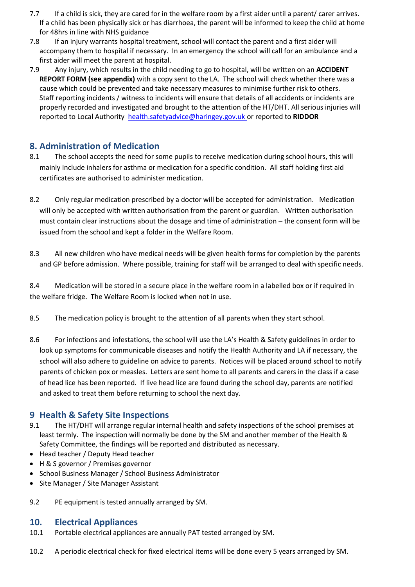- 7.7 If a child is sick, they are cared for in the welfare room by a first aider until a parent/ carer arrives. If a child has been physically sick or has diarrhoea, the parent will be informed to keep the child at home for 48hrs in line with NHS guidance
- 7.8 If an injury warrants hospital treatment, school will contact the parent and a first aider will accompany them to hospital if necessary. In an emergency the school will call for an ambulance and a first aider will meet the parent at hospital.
- 7.9 Any injury, which results in the child needing to go to hospital, will be written on an **ACCIDENT REPORT FORM (see appendix)** with a copy sent to the LA. The school will check whether there was a cause which could be prevented and take necessary measures to minimise further risk to others. Staff reporting incidents / witness to incidents will ensure that details of all accidents or incidents are properly recorded and investigated and brought to the attention of the HT/DHT. All serious injuries will reported to Local Authority [health.safetyadvice@haringey.gov.uk](mailto:health.safetyadvice@haringey.gov.uk) or reported to **RIDDOR**

## **8. Administration of Medication**

- 8.1 The school accepts the need for some pupils to receive medication during school hours, this will mainly include inhalers for asthma or medication for a specific condition. All staff holding first aid certificates are authorised to administer medication.
- 8.2 Only regular medication prescribed by a doctor will be accepted for administration. Medication will only be accepted with written authorisation from the parent or guardian. Written authorisation must contain clear instructions about the dosage and time of administration – the consent form will be issued from the school and kept a folder in the Welfare Room.
- 8.3 All new children who have medical needs will be given health forms for completion by the parents and GP before admission. Where possible, training for staff will be arranged to deal with specific needs.

8.4 Medication will be stored in a secure place in the welfare room in a labelled box or if required in the welfare fridge. The Welfare Room is locked when not in use.

- 8.5 The medication policy is brought to the attention of all parents when they start school.
- 8.6 For infections and infestations, the school will use the LA's Health & Safety guidelines in order to look up symptoms for communicable diseases and notify the Health Authority and LA if necessary, the school will also adhere to guideline on advice to parents. Notices will be placed around school to notify parents of chicken pox or measles. Letters are sent home to all parents and carers in the class if a case of head lice has been reported. If live head lice are found during the school day, parents are notified and asked to treat them before returning to school the next day.

## **9 Health & Safety Site Inspections**

- 9.1 The HT/DHT will arrange regular internal health and safety inspections of the school premises at least termly. The inspection will normally be done by the SM and another member of the Health & Safety Committee, the findings will be reported and distributed as necessary.
- Head teacher / Deputy Head teacher
- H & S governor / Premises governor
- School Business Manager / School Business Administrator
- Site Manager / Site Manager Assistant
- 9.2 PE equipment is tested annually arranged by SM.

## **10. Electrical Appliances**

- 10.1 Portable electrical appliances are annually PAT tested arranged by SM.
- 10.2 A periodic electrical check for fixed electrical items will be done every 5 years arranged by SM.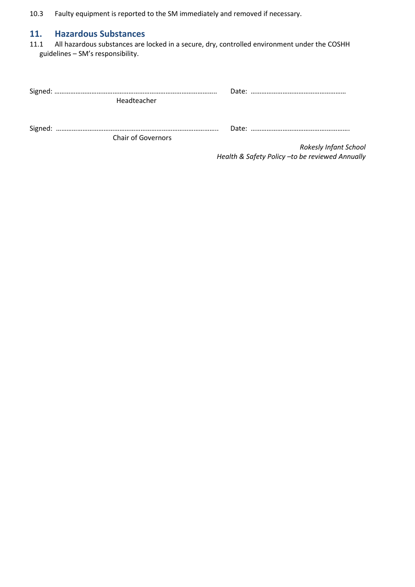10.3 Faulty equipment is reported to the SM immediately and removed if necessary.

# **11. Hazardous Substances**

All hazardous substances are locked in a secure, dry, controlled environment under the COSHH guidelines – SM's responsibility.

| Headteacher |                           |  |  |
|-------------|---------------------------|--|--|
|             | <b>Chair of Governors</b> |  |  |

*Rokesly Infant School Health & Safety Policy –to be reviewed Annually*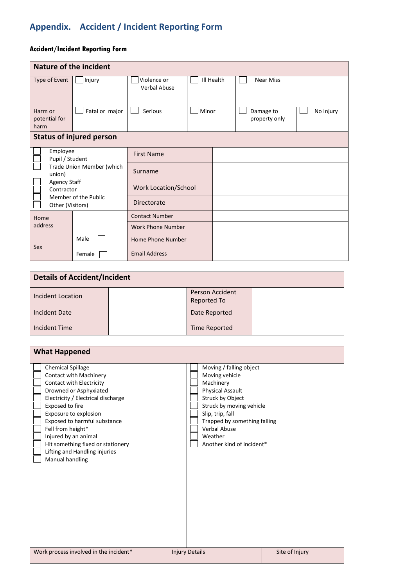# **Appendix. Accident / Incident Reporting Form**

## **Accident/Incident Reporting Form**

| <b>Nature of the incident</b>                                                                           |                                 |                                    |       |            |                            |           |
|---------------------------------------------------------------------------------------------------------|---------------------------------|------------------------------------|-------|------------|----------------------------|-----------|
| Type of Event                                                                                           | Injury                          | Violence or<br><b>Verbal Abuse</b> |       | Ill Health | <b>Near Miss</b>           |           |
| Harm or<br>potential for<br>harm                                                                        | Fatal or major                  | Serious                            | Minor |            | Damage to<br>property only | No Injury |
|                                                                                                         | <b>Status of injured person</b> |                                    |       |            |                            |           |
| Employee<br>Pupil / Student<br>Trade Union Member (which<br>union)<br><b>Agency Staff</b><br>Contractor |                                 | <b>First Name</b>                  |       |            |                            |           |
|                                                                                                         |                                 | Surname                            |       |            |                            |           |
|                                                                                                         |                                 | Work Location/School               |       |            |                            |           |
| Member of the Public<br>Other (Visitors)                                                                |                                 | Directorate                        |       |            |                            |           |
| Home                                                                                                    |                                 | <b>Contact Number</b>              |       |            |                            |           |
| address                                                                                                 |                                 | Work Phone Number                  |       |            |                            |           |
|                                                                                                         | Male                            | Home Phone Number                  |       |            |                            |           |
| Sex                                                                                                     | Female                          | <b>Email Address</b>               |       |            |                            |           |

| <b>Details of Accident/Incident</b>   |  |                                       |  |  |  |
|---------------------------------------|--|---------------------------------------|--|--|--|
| Incident Location                     |  | <b>Person Accident</b><br>Reported To |  |  |  |
| <b>Incident Date</b>                  |  | Date Reported                         |  |  |  |
| <b>Incident Time</b><br>Time Reported |  |                                       |  |  |  |

| <b>What Happened</b>                                                                                                                                                                                                                                                                                                                                                    |                                                                                                                                                                                                                                                      |                |
|-------------------------------------------------------------------------------------------------------------------------------------------------------------------------------------------------------------------------------------------------------------------------------------------------------------------------------------------------------------------------|------------------------------------------------------------------------------------------------------------------------------------------------------------------------------------------------------------------------------------------------------|----------------|
| <b>Chemical Spillage</b><br>Contact with Machinery<br>Contact with Electricity<br>Drowned or Asphyxiated<br>Electricity / Electrical discharge<br>Exposed to fire<br>Exposure to explosion<br>Exposed to harmful substance<br>Fell from height*<br>Injured by an animal<br>Hit something fixed or stationery<br>Lifting and Handling injuries<br><b>Manual handling</b> | Moving / falling object<br>Moving vehicle<br>Machinery<br><b>Physical Assault</b><br>Struck by Object<br>Struck by moving vehicle<br>Slip, trip, fall<br>Trapped by something falling<br><b>Verbal Abuse</b><br>Weather<br>Another kind of incident* |                |
| Work process involved in the incident*                                                                                                                                                                                                                                                                                                                                  | <b>Injury Details</b>                                                                                                                                                                                                                                | Site of Injury |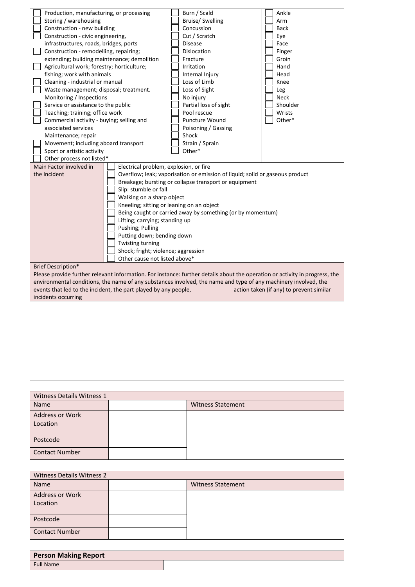|                                     | Production, manufacturing, or processing             |                                                                 | Burn / Scald                                                                                                                | Ankle                                    |
|-------------------------------------|------------------------------------------------------|-----------------------------------------------------------------|-----------------------------------------------------------------------------------------------------------------------------|------------------------------------------|
|                                     | Storing / warehousing                                |                                                                 | Bruise/ Swelling                                                                                                            | Arm                                      |
|                                     | Construction - new building                          |                                                                 | Concussion                                                                                                                  | <b>Back</b>                              |
|                                     | Construction - civic engineering,                    |                                                                 | Cut / Scratch                                                                                                               | Eye                                      |
|                                     | infrastructures, roads, bridges, ports               |                                                                 | <b>Disease</b>                                                                                                              | Face                                     |
|                                     | Construction - remodelling, repairing;               |                                                                 | Dislocation                                                                                                                 | Finger                                   |
|                                     | extending; building maintenance; demolition          |                                                                 | Fracture                                                                                                                    | Groin                                    |
|                                     | Agricultural work; forestry; horticulture;           |                                                                 | Irritation                                                                                                                  | Hand                                     |
|                                     | fishing; work with animals                           |                                                                 | Internal Injury                                                                                                             | Head                                     |
|                                     | Cleaning - industrial or manual                      |                                                                 | Loss of Limb                                                                                                                | Knee                                     |
|                                     | Waste management; disposal; treatment.               |                                                                 | Loss of Sight                                                                                                               | Leg                                      |
|                                     | Monitoring / Inspections                             |                                                                 | No injury                                                                                                                   | Neck                                     |
|                                     | Service or assistance to the public                  |                                                                 | Partial loss of sight                                                                                                       | Shoulder                                 |
|                                     | Teaching; training; office work                      |                                                                 | Pool rescue                                                                                                                 | Wrists                                   |
|                                     | Commercial activity - buying; selling and            |                                                                 | Puncture Wound                                                                                                              | Other*                                   |
|                                     | associated services                                  |                                                                 |                                                                                                                             |                                          |
|                                     | Maintenance; repair                                  |                                                                 | Poisoning / Gassing<br>Shock                                                                                                |                                          |
|                                     | Movement; including aboard transport                 |                                                                 | Strain / Sprain                                                                                                             |                                          |
|                                     | Sport or artistic activity                           |                                                                 | Other*                                                                                                                      |                                          |
|                                     |                                                      |                                                                 |                                                                                                                             |                                          |
|                                     | Other process not listed*<br>Main Factor involved in | Electrical problem, explosion, or fire                          |                                                                                                                             |                                          |
|                                     | the Incident                                         |                                                                 | Overflow; leak; vaporisation or emission of liquid; solid or gaseous product                                                |                                          |
|                                     |                                                      |                                                                 | Breakage; bursting or collapse transport or equipment                                                                       |                                          |
|                                     |                                                      | Slip: stumble or fall                                           |                                                                                                                             |                                          |
|                                     |                                                      |                                                                 |                                                                                                                             |                                          |
|                                     | Walking on a sharp object                            |                                                                 |                                                                                                                             |                                          |
|                                     | Kneeling; sitting or leaning on an object            |                                                                 | Being caught or carried away by something (or by momentum)                                                                  |                                          |
|                                     | Lifting; carrying; standing up                       |                                                                 |                                                                                                                             |                                          |
|                                     | Pushing; Pulling                                     |                                                                 |                                                                                                                             |                                          |
|                                     | Putting down; bending down                           |                                                                 |                                                                                                                             |                                          |
|                                     | Twisting turning                                     |                                                                 |                                                                                                                             |                                          |
| Shock; fright; violence; aggression |                                                      |                                                                 |                                                                                                                             |                                          |
|                                     | Other cause not listed above*                        |                                                                 |                                                                                                                             |                                          |
|                                     | <b>Brief Description*</b>                            |                                                                 |                                                                                                                             |                                          |
|                                     |                                                      |                                                                 | Please provide further relevant information. For instance: further details about the operation or activity in progress, the |                                          |
|                                     |                                                      |                                                                 | environmental conditions, the name of any substances involved, the name and type of any machinery involved, the             |                                          |
|                                     |                                                      | events that led to the incident, the part played by any people, |                                                                                                                             | action taken (if any) to prevent similar |
|                                     | incidents occurring                                  |                                                                 |                                                                                                                             |                                          |
|                                     |                                                      |                                                                 |                                                                                                                             |                                          |
|                                     |                                                      |                                                                 |                                                                                                                             |                                          |
|                                     |                                                      |                                                                 |                                                                                                                             |                                          |
|                                     |                                                      |                                                                 |                                                                                                                             |                                          |
|                                     |                                                      |                                                                 |                                                                                                                             |                                          |
|                                     |                                                      |                                                                 |                                                                                                                             |                                          |
|                                     |                                                      |                                                                 |                                                                                                                             |                                          |
|                                     |                                                      |                                                                 |                                                                                                                             |                                          |
|                                     |                                                      |                                                                 |                                                                                                                             |                                          |
|                                     |                                                      |                                                                 |                                                                                                                             |                                          |
|                                     |                                                      |                                                                 |                                                                                                                             |                                          |
|                                     |                                                      |                                                                 |                                                                                                                             |                                          |
|                                     | <b>Witness Details Witness 1</b>                     |                                                                 |                                                                                                                             |                                          |
|                                     |                                                      |                                                                 |                                                                                                                             |                                          |

| Witness Details Witness 1          |  |                          |  |  |
|------------------------------------|--|--------------------------|--|--|
| Name                               |  | <b>Witness Statement</b> |  |  |
| <b>Address or Work</b><br>Location |  |                          |  |  |
| Postcode                           |  |                          |  |  |
| <b>Contact Number</b>              |  |                          |  |  |

| Witness Details Witness 2          |  |                          |  |  |
|------------------------------------|--|--------------------------|--|--|
| Name                               |  | <b>Witness Statement</b> |  |  |
| <b>Address or Work</b><br>Location |  |                          |  |  |
| Postcode                           |  |                          |  |  |
| <b>Contact Number</b>              |  |                          |  |  |

| <b>Person Making Report</b> |  |
|-----------------------------|--|
| <b>Full Name</b>            |  |